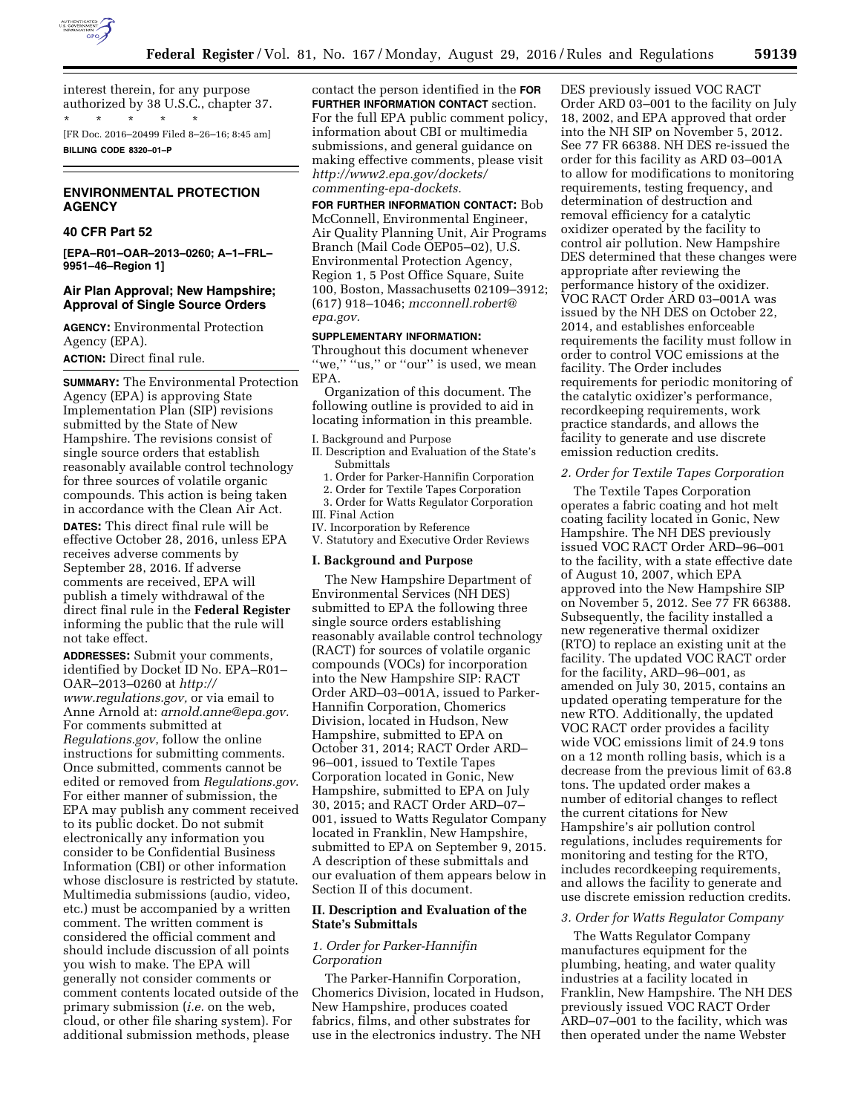

interest therein, for any purpose authorized by 38 U.S.C., chapter 37. \* \* \* \* \*

[FR Doc. 2016–20499 Filed 8–26–16; 8:45 am] **BILLING CODE 8320–01–P** 

# **ENVIRONMENTAL PROTECTION AGENCY**

# **40 CFR Part 52**

**[EPA–R01–OAR–2013–0260; A–1–FRL– 9951–46–Region 1]** 

# **Air Plan Approval; New Hampshire; Approval of Single Source Orders**

**AGENCY:** Environmental Protection Agency (EPA). **ACTION:** Direct final rule.

**SUMMARY:** The Environmental Protection Agency (EPA) is approving State Implementation Plan (SIP) revisions submitted by the State of New Hampshire. The revisions consist of single source orders that establish reasonably available control technology for three sources of volatile organic compounds. This action is being taken in accordance with the Clean Air Act.

**DATES:** This direct final rule will be effective October 28, 2016, unless EPA receives adverse comments by September 28, 2016. If adverse comments are received, EPA will publish a timely withdrawal of the direct final rule in the **Federal Register**  informing the public that the rule will not take effect.

**ADDRESSES:** Submit your comments, identified by Docket ID No. EPA–R01– OAR–2013–0260 at *[http://](http://www.regulations.gov) [www.regulations.gov,](http://www.regulations.gov)* or via email to Anne Arnold at: *[arnold.anne@epa.gov.](mailto:arnold.anne@epa.gov)*  For comments submitted at *Regulations.gov*, follow the online instructions for submitting comments. Once submitted, comments cannot be edited or removed from *Regulations.gov*. For either manner of submission, the EPA may publish any comment received to its public docket. Do not submit electronically any information you consider to be Confidential Business Information (CBI) or other information whose disclosure is restricted by statute. Multimedia submissions (audio, video, etc.) must be accompanied by a written comment. The written comment is considered the official comment and should include discussion of all points you wish to make. The EPA will generally not consider comments or comment contents located outside of the primary submission (*i.e.* on the web, cloud, or other file sharing system). For additional submission methods, please

contact the person identified in the **FOR FURTHER INFORMATION CONTACT** section. For the full EPA public comment policy, information about CBI or multimedia submissions, and general guidance on making effective comments, please visit *[http://www2.epa.gov/dockets/](http://www2.epa.gov/dockets/commenting-epa-dockets)  [commenting-epa-dockets.](http://www2.epa.gov/dockets/commenting-epa-dockets)* 

**FOR FURTHER INFORMATION CONTACT:** Bob McConnell, Environmental Engineer, Air Quality Planning Unit, Air Programs Branch (Mail Code OEP05–02), U.S. Environmental Protection Agency, Region 1, 5 Post Office Square, Suite 100, Boston, Massachusetts 02109–3912; (617) 918–1046; *[mcconnell.robert@](mailto:mcconnell.robert@epa.gov) [epa.gov.](mailto:mcconnell.robert@epa.gov)* 

#### **SUPPLEMENTARY INFORMATION:**

Throughout this document whenever "we," "us," or "our" is used, we mean EPA.

Organization of this document. The following outline is provided to aid in locating information in this preamble.

I. Background and Purpose

- II. Description and Evaluation of the State's Submittals
- 1. Order for Parker-Hannifin Corporation
- 2. Order for Textile Tapes Corporation
- 3. Order for Watts Regulator Corporation
- III. Final Action
- IV. Incorporation by Reference
- V. Statutory and Executive Order Reviews

#### **I. Background and Purpose**

The New Hampshire Department of Environmental Services (NH DES) submitted to EPA the following three single source orders establishing reasonably available control technology (RACT) for sources of volatile organic compounds (VOCs) for incorporation into the New Hampshire SIP: RACT Order ARD–03–001A, issued to Parker-Hannifin Corporation, Chomerics Division, located in Hudson, New Hampshire, submitted to EPA on October 31, 2014; RACT Order ARD– 96–001, issued to Textile Tapes Corporation located in Gonic, New Hampshire, submitted to EPA on July 30, 2015; and RACT Order ARD–07– 001, issued to Watts Regulator Company located in Franklin, New Hampshire, submitted to EPA on September 9, 2015. A description of these submittals and our evaluation of them appears below in Section II of this document.

# **II. Description and Evaluation of the State's Submittals**

# *1. Order for Parker-Hannifin Corporation*

The Parker-Hannifin Corporation, Chomerics Division, located in Hudson, New Hampshire, produces coated fabrics, films, and other substrates for use in the electronics industry. The NH

DES previously issued VOC RACT Order ARD 03–001 to the facility on July 18, 2002, and EPA approved that order into the NH SIP on November 5, 2012. See 77 FR 66388. NH DES re-issued the order for this facility as ARD 03–001A to allow for modifications to monitoring requirements, testing frequency, and determination of destruction and removal efficiency for a catalytic oxidizer operated by the facility to control air pollution. New Hampshire DES determined that these changes were appropriate after reviewing the performance history of the oxidizer. VOC RACT Order ARD 03–001A was issued by the NH DES on October 22, 2014, and establishes enforceable requirements the facility must follow in order to control VOC emissions at the facility. The Order includes requirements for periodic monitoring of the catalytic oxidizer's performance, recordkeeping requirements, work practice standards, and allows the facility to generate and use discrete emission reduction credits.

## *2. Order for Textile Tapes Corporation*

The Textile Tapes Corporation operates a fabric coating and hot melt coating facility located in Gonic, New Hampshire. The NH DES previously issued VOC RACT Order ARD–96–001 to the facility, with a state effective date of August 10, 2007, which EPA approved into the New Hampshire SIP on November 5, 2012. See 77 FR 66388. Subsequently, the facility installed a new regenerative thermal oxidizer (RTO) to replace an existing unit at the facility. The updated VOC RACT order for the facility, ARD–96–001, as amended on July 30, 2015, contains an updated operating temperature for the new RTO. Additionally, the updated VOC RACT order provides a facility wide VOC emissions limit of 24.9 tons on a 12 month rolling basis, which is a decrease from the previous limit of 63.8 tons. The updated order makes a number of editorial changes to reflect the current citations for New Hampshire's air pollution control regulations, includes requirements for monitoring and testing for the RTO, includes recordkeeping requirements, and allows the facility to generate and use discrete emission reduction credits.

### *3. Order for Watts Regulator Company*

The Watts Regulator Company manufactures equipment for the plumbing, heating, and water quality industries at a facility located in Franklin, New Hampshire. The NH DES previously issued VOC RACT Order ARD–07–001 to the facility, which was then operated under the name Webster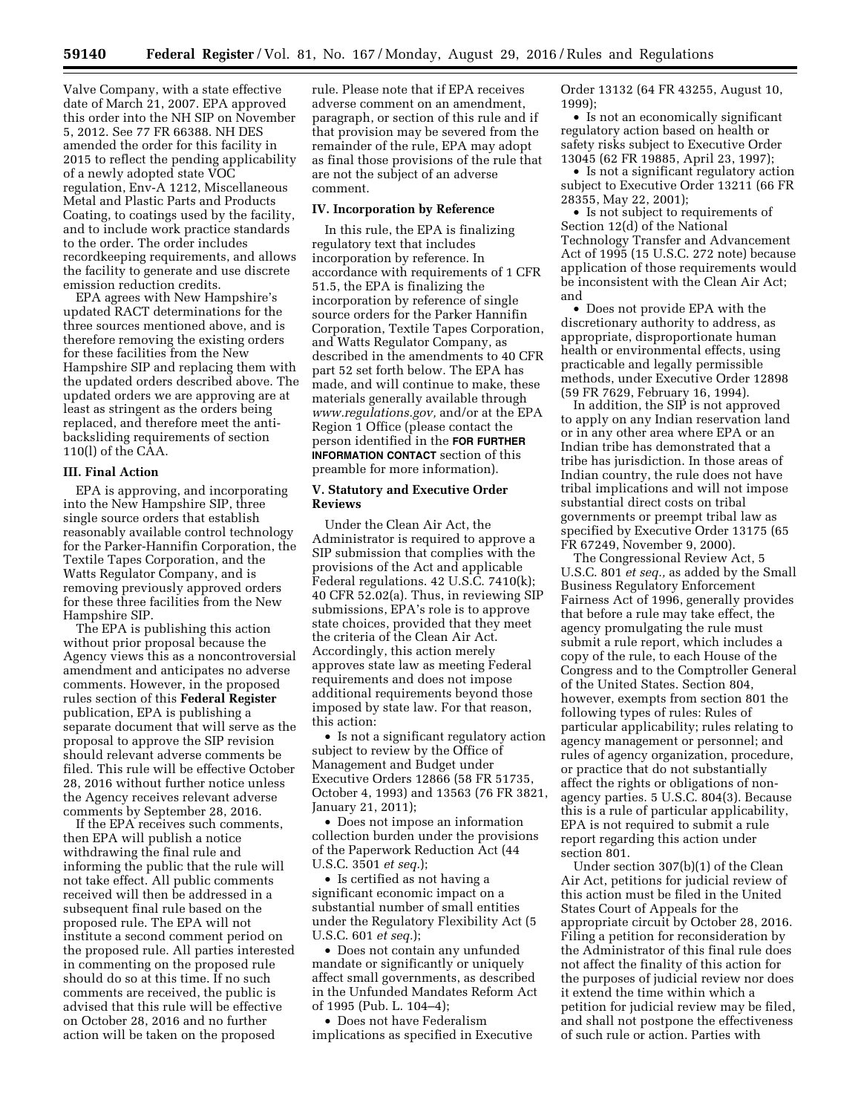Valve Company, with a state effective date of March 21, 2007. EPA approved this order into the NH SIP on November 5, 2012. See 77 FR 66388. NH DES amended the order for this facility in 2015 to reflect the pending applicability of a newly adopted state VOC regulation, Env-A 1212, Miscellaneous Metal and Plastic Parts and Products Coating, to coatings used by the facility, and to include work practice standards to the order. The order includes recordkeeping requirements, and allows the facility to generate and use discrete emission reduction credits.

EPA agrees with New Hampshire's updated RACT determinations for the three sources mentioned above, and is therefore removing the existing orders for these facilities from the New Hampshire SIP and replacing them with the updated orders described above. The updated orders we are approving are at least as stringent as the orders being replaced, and therefore meet the antibacksliding requirements of section 110(l) of the CAA.

#### **III. Final Action**

EPA is approving, and incorporating into the New Hampshire SIP, three single source orders that establish reasonably available control technology for the Parker-Hannifin Corporation, the Textile Tapes Corporation, and the Watts Regulator Company, and is removing previously approved orders for these three facilities from the New Hampshire SIP.

The EPA is publishing this action without prior proposal because the Agency views this as a noncontroversial amendment and anticipates no adverse comments. However, in the proposed rules section of this **Federal Register**  publication, EPA is publishing a separate document that will serve as the proposal to approve the SIP revision should relevant adverse comments be filed. This rule will be effective October 28, 2016 without further notice unless the Agency receives relevant adverse comments by September 28, 2016.

If the EPA receives such comments, then EPA will publish a notice withdrawing the final rule and informing the public that the rule will not take effect. All public comments received will then be addressed in a subsequent final rule based on the proposed rule. The EPA will not institute a second comment period on the proposed rule. All parties interested in commenting on the proposed rule should do so at this time. If no such comments are received, the public is advised that this rule will be effective on October 28, 2016 and no further action will be taken on the proposed

rule. Please note that if EPA receives adverse comment on an amendment, paragraph, or section of this rule and if that provision may be severed from the remainder of the rule, EPA may adopt as final those provisions of the rule that are not the subject of an adverse comment.

#### **IV. Incorporation by Reference**

In this rule, the EPA is finalizing regulatory text that includes incorporation by reference. In accordance with requirements of 1 CFR 51.5, the EPA is finalizing the incorporation by reference of single source orders for the Parker Hannifin Corporation, Textile Tapes Corporation, and Watts Regulator Company, as described in the amendments to 40 CFR part 52 set forth below. The EPA has made, and will continue to make, these materials generally available through *[www.regulations.gov,](http://www.regulations.gov)* and/or at the EPA Region 1 Office (please contact the person identified in the **FOR FURTHER INFORMATION CONTACT** section of this preamble for more information).

# **V. Statutory and Executive Order Reviews**

Under the Clean Air Act, the Administrator is required to approve a SIP submission that complies with the provisions of the Act and applicable Federal regulations. 42 U.S.C. 7410(k); 40 CFR 52.02(a). Thus, in reviewing SIP submissions, EPA's role is to approve state choices, provided that they meet the criteria of the Clean Air Act. Accordingly, this action merely approves state law as meeting Federal requirements and does not impose additional requirements beyond those imposed by state law. For that reason, this action:

• Is not a significant regulatory action subject to review by the Office of Management and Budget under Executive Orders 12866 (58 FR 51735, October 4, 1993) and 13563 (76 FR 3821, January 21, 2011);

• Does not impose an information collection burden under the provisions of the Paperwork Reduction Act (44 U.S.C. 3501 *et seq.*);

• Is certified as not having a significant economic impact on a substantial number of small entities under the Regulatory Flexibility Act (5 U.S.C. 601 *et seq.*);

• Does not contain any unfunded mandate or significantly or uniquely affect small governments, as described in the Unfunded Mandates Reform Act of 1995 (Pub. L. 104–4);

• Does not have Federalism implications as specified in Executive Order 13132 (64 FR 43255, August 10, 1999);

• Is not an economically significant regulatory action based on health or safety risks subject to Executive Order 13045 (62 FR 19885, April 23, 1997);

• Is not a significant regulatory action subject to Executive Order 13211 (66 FR 28355, May 22, 2001);

• Is not subject to requirements of Section 12(d) of the National Technology Transfer and Advancement Act of 1995 (15 U.S.C. 272 note) because application of those requirements would be inconsistent with the Clean Air Act; and

• Does not provide EPA with the discretionary authority to address, as appropriate, disproportionate human health or environmental effects, using practicable and legally permissible methods, under Executive Order 12898 (59 FR 7629, February 16, 1994).

In addition, the SIP is not approved to apply on any Indian reservation land or in any other area where EPA or an Indian tribe has demonstrated that a tribe has jurisdiction. In those areas of Indian country, the rule does not have tribal implications and will not impose substantial direct costs on tribal governments or preempt tribal law as specified by Executive Order 13175 (65 FR 67249, November 9, 2000).

The Congressional Review Act, 5 U.S.C. 801 *et seq.,* as added by the Small Business Regulatory Enforcement Fairness Act of 1996, generally provides that before a rule may take effect, the agency promulgating the rule must submit a rule report, which includes a copy of the rule, to each House of the Congress and to the Comptroller General of the United States. Section 804, however, exempts from section 801 the following types of rules: Rules of particular applicability; rules relating to agency management or personnel; and rules of agency organization, procedure, or practice that do not substantially affect the rights or obligations of nonagency parties. 5 U.S.C. 804(3). Because this is a rule of particular applicability, EPA is not required to submit a rule report regarding this action under section 801.

Under section 307(b)(1) of the Clean Air Act, petitions for judicial review of this action must be filed in the United States Court of Appeals for the appropriate circuit by October 28, 2016. Filing a petition for reconsideration by the Administrator of this final rule does not affect the finality of this action for the purposes of judicial review nor does it extend the time within which a petition for judicial review may be filed, and shall not postpone the effectiveness of such rule or action. Parties with